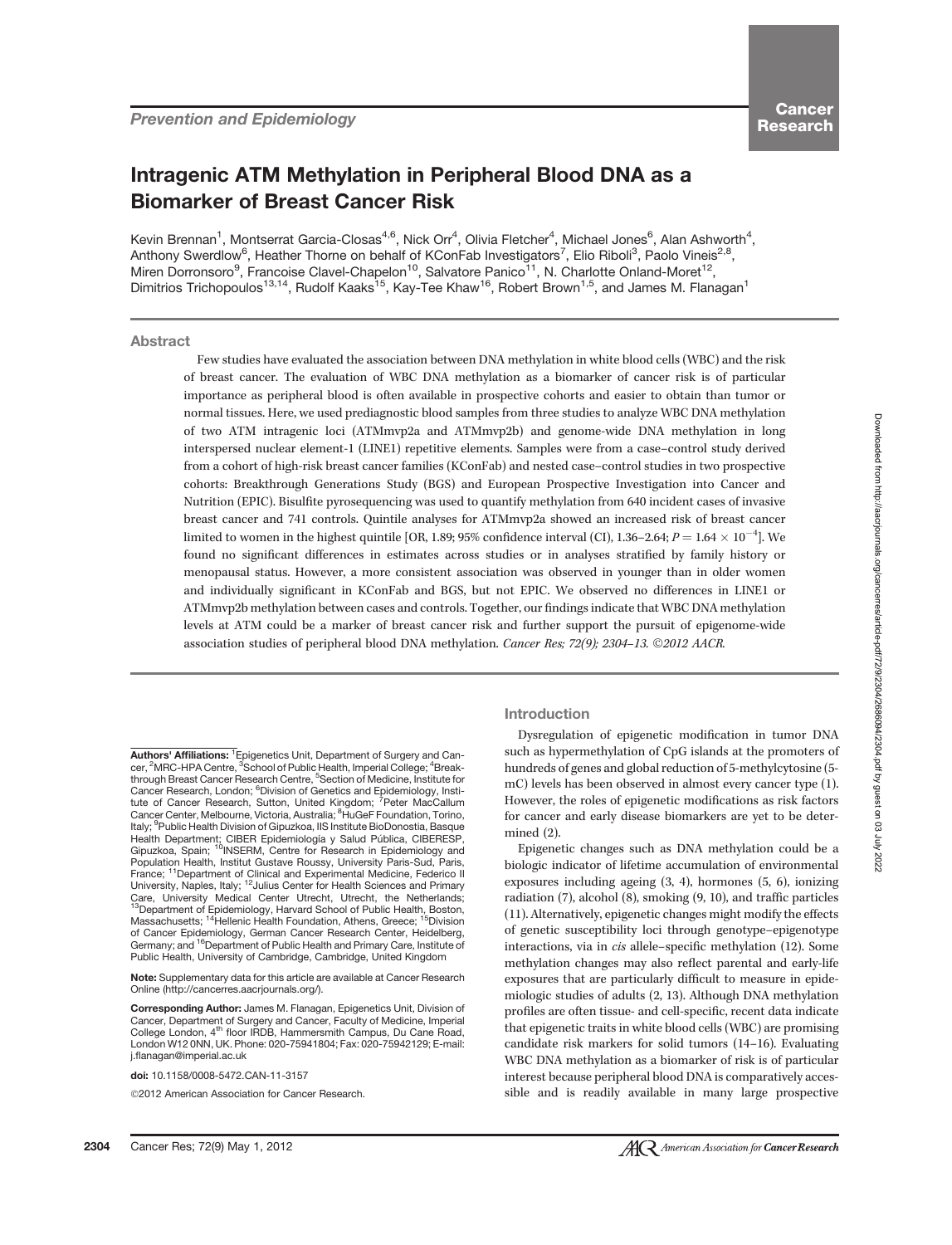# Intragenic ATM Methylation in Peripheral Blood DNA as a Biomarker of Breast Cancer Risk

Kevin Brennan<sup>1</sup>, Montserrat Garcia-Closas<sup>4,6</sup>, Nick Orr<sup>4</sup>, Olivia Fletcher<sup>4</sup>, Michael Jones<sup>6</sup>, Alan Ashworth<sup>4</sup>, Anthony Swerdlow<sup>6</sup>, Heather Thorne on behalf of KConFab Investigators<sup>7</sup>, Elio Riboli<sup>3</sup>, Paolo Vineis<sup>2,8</sup>, Miren Dorronsoro<sup>9</sup>, Francoise Clavel-Chapelon<sup>10</sup>, Salvatore Panico<sup>11</sup>, N. Charlotte Onland-Moret<sup>12</sup>, Dimitrios Trichopoulos<sup>13,14</sup>, Rudolf Kaaks<sup>15</sup>, Kay-Tee Khaw<sup>16</sup>, Robert Brown<sup>1,5</sup>, and James M. Flanagan<sup>1</sup>

# Abstract

Few studies have evaluated the association between DNA methylation in white blood cells (WBC) and the risk of breast cancer. The evaluation of WBC DNA methylation as a biomarker of cancer risk is of particular importance as peripheral blood is often available in prospective cohorts and easier to obtain than tumor or normal tissues. Here, we used prediagnostic blood samples from three studies to analyze WBC DNA methylation of two ATM intragenic loci (ATMmvp2a and ATMmvp2b) and genome-wide DNA methylation in long interspersed nuclear element-1 (LINE1) repetitive elements. Samples were from a case–control study derived from a cohort of high-risk breast cancer families (KConFab) and nested case–control studies in two prospective cohorts: Breakthrough Generations Study (BGS) and European Prospective Investigation into Cancer and Nutrition (EPIC). Bisulfite pyrosequencing was used to quantify methylation from 640 incident cases of invasive breast cancer and 741 controls. Quintile analyses for ATMmvp2a showed an increased risk of breast cancer limited to women in the highest quintile [OR, 1.89; 95% confidence interval (CI), 1.36–2.64;  $P = 1.64 \times 10^{-4}$ ]. We found no significant differences in estimates across studies or in analyses stratified by family history or menopausal status. However, a more consistent association was observed in younger than in older women and individually significant in KConFab and BGS, but not EPIC. We observed no differences in LINE1 or ATMmvp2b methylation between cases and controls. Together, our findings indicate that WBC DNA methylation levels at ATM could be a marker of breast cancer risk and further support the pursuit of epigenome-wide association studies of peripheral blood DNA methylation. Cancer Res; 72(9); 2304-13. 2012 AACR.

Authors' Affiliations: <sup>1</sup> Epigenetics Unit, Department of Surgery and Cancer, <sup>2</sup>MRC-HPA Centre, <sup>3</sup>School of Public Health, Imperial College; <sup>4</sup>Breakthrough Breast Cancer Research Centre, <sup>5</sup>Section of Medicine, Institute for Cancer Research, London; <sup>6</sup>Division of Genetics and Epidemiology, Insti-<br>tute of Cancer Research, Sutton, United Kingdom; <sup>7</sup>Peter MacCallum<br>Cancer Center, Melbourne, Victoria, Australia; <sup>8</sup>HuGeF Foundation, Torino, Italy; <sup>9</sup>Public Health Division of Gipuzkoa, IIS Institute BioDonostia, Basque Health Department; CIBER Epidemiología y Salud Pública, CIBERESP,<br>Gipuzkoa, Spain; <sup>10</sup>INSERM, Centre for Research in Epidemiology and Population Health, Institut Gustave Roussy, University Paris-Sud, Paris, France; <sup>11</sup>Department of Clinical and Experimental Medicine, Federico II<br>University, Naples, Italy; <sup>12</sup>Julius Center for Health Sciences and Primary Care, University Medical Center Utrecht, Utrecht, the Netherlands;<br><sup>13</sup>Department of Epidemiology, Harvard School of Public Health, Boston,<br>Massachusetts; <sup>14</sup>Hellenic Health Foundation, Athens, Greece; <sup>15</sup>Division of Cancer Epidemiology, German Cancer Research Center, Heidelberg, Germany; and <sup>16</sup>Department of Public Health and Primary Care, Institute of <sup>6</sup>Department of Public Health and Primary Care, Institute of Public Health, University of Cambridge, Cambridge, United Kingdom

Note: Supplementary data for this article are available at Cancer Research Online (http://cancerres.aacrjournals.org/).

Corresponding Author: James M. Flanagan, Epigenetics Unit, Division of Cancer, Department of Surgery and Cancer, Faculty of Medicine, Imperial College London, 4<sup>th</sup> floor IRDB, Hammersmith Campus, Du Cane Road, London W12 0NN, UK. Phone: 020-75941804; Fax: 020-75942129; E-mail: j.flanagan@imperial.ac.uk

doi: 10.1158/0008-5472.CAN-11-3157

2012 American Association for Cancer Research.

# Introduction

Dysregulation of epigenetic modification in tumor DNA such as hypermethylation of CpG islands at the promoters of hundreds of genes and global reduction of 5-methylcytosine (5 mC) levels has been observed in almost every cancer type (1). However, the roles of epigenetic modifications as risk factors for cancer and early disease biomarkers are yet to be determined (2).

Epigenetic changes such as DNA methylation could be a biologic indicator of lifetime accumulation of environmental exposures including ageing (3, 4), hormones (5, 6), ionizing radiation (7), alcohol (8), smoking (9, 10), and traffic particles (11). Alternatively, epigenetic changes might modify the effects of genetic susceptibility loci through genotype–epigenotype interactions, via in cis allele–specific methylation (12). Some methylation changes may also reflect parental and early-life exposures that are particularly difficult to measure in epidemiologic studies of adults (2, 13). Although DNA methylation profiles are often tissue- and cell-specific, recent data indicate that epigenetic traits in white blood cells (WBC) are promising candidate risk markers for solid tumors (14–16). Evaluating WBC DNA methylation as a biomarker of risk is of particular interest because peripheral blood DNA is comparatively accessible and is readily available in many large prospective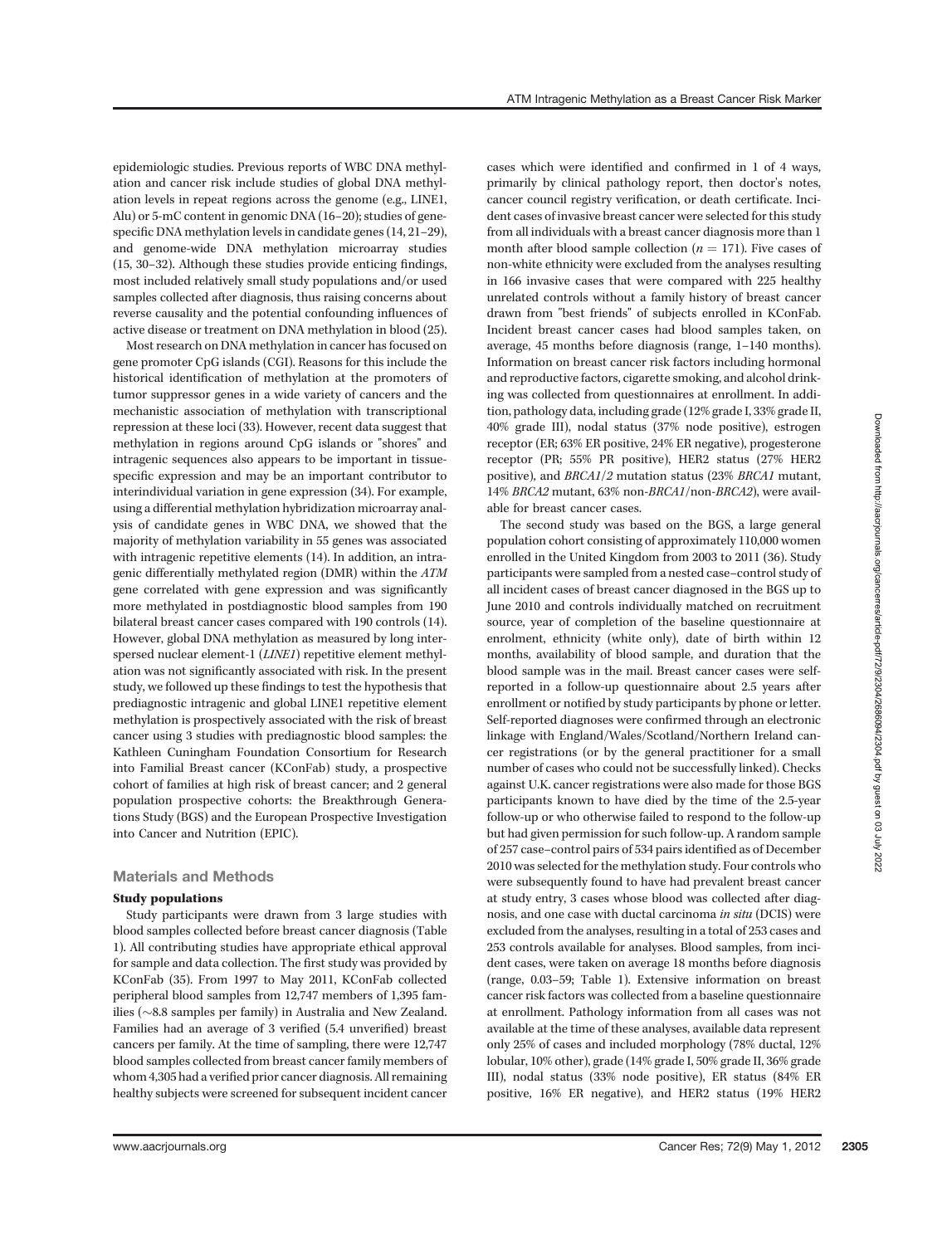epidemiologic studies. Previous reports of WBC DNA methylation and cancer risk include studies of global DNA methylation levels in repeat regions across the genome (e.g., LINE1, Alu) or 5-mC content in genomic DNA (16–20); studies of genespecific DNA methylation levels in candidate genes (14, 21–29), and genome-wide DNA methylation microarray studies (15, 30–32). Although these studies provide enticing findings, most included relatively small study populations and/or used samples collected after diagnosis, thus raising concerns about reverse causality and the potential confounding influences of active disease or treatment on DNA methylation in blood (25).

Most research on DNA methylation in cancer has focused on gene promoter CpG islands (CGI). Reasons for this include the historical identification of methylation at the promoters of tumor suppressor genes in a wide variety of cancers and the mechanistic association of methylation with transcriptional repression at these loci (33). However, recent data suggest that methylation in regions around CpG islands or "shores" and intragenic sequences also appears to be important in tissuespecific expression and may be an important contributor to interindividual variation in gene expression (34). For example, using a differential methylation hybridization microarray analysis of candidate genes in WBC DNA, we showed that the majority of methylation variability in 55 genes was associated with intragenic repetitive elements (14). In addition, an intragenic differentially methylated region (DMR) within the ATM gene correlated with gene expression and was significantly more methylated in postdiagnostic blood samples from 190 bilateral breast cancer cases compared with 190 controls (14). However, global DNA methylation as measured by long interspersed nuclear element-1 (LINE1) repetitive element methylation was not significantly associated with risk. In the present study, we followed up these findings to test the hypothesis that prediagnostic intragenic and global LINE1 repetitive element methylation is prospectively associated with the risk of breast cancer using 3 studies with prediagnostic blood samples: the Kathleen Cuningham Foundation Consortium for Research into Familial Breast cancer (KConFab) study, a prospective cohort of families at high risk of breast cancer; and 2 general population prospective cohorts: the Breakthrough Generations Study (BGS) and the European Prospective Investigation into Cancer and Nutrition (EPIC).

## Materials and Methods

## Study populations

Study participants were drawn from 3 large studies with blood samples collected before breast cancer diagnosis (Table 1). All contributing studies have appropriate ethical approval for sample and data collection. The first study was provided by KConFab (35). From 1997 to May 2011, KConFab collected peripheral blood samples from 12,747 members of 1,395 families ( $\sim$ 8.8 samples per family) in Australia and New Zealand. Families had an average of 3 verified (5.4 unverified) breast cancers per family. At the time of sampling, there were 12,747 blood samples collected from breast cancer family members of whom 4,305 had a verified prior cancer diagnosis. All remaining healthy subjects were screened for subsequent incident cancer cases which were identified and confirmed in 1 of 4 ways, primarily by clinical pathology report, then doctor's notes, cancer council registry verification, or death certificate. Incident cases of invasive breast cancer were selected for this study from all individuals with a breast cancer diagnosis more than 1 month after blood sample collection ( $n = 171$ ). Five cases of non-white ethnicity were excluded from the analyses resulting in 166 invasive cases that were compared with 225 healthy unrelated controls without a family history of breast cancer drawn from "best friends" of subjects enrolled in KConFab. Incident breast cancer cases had blood samples taken, on average, 45 months before diagnosis (range, 1–140 months). Information on breast cancer risk factors including hormonal and reproductive factors, cigarette smoking, and alcohol drinking was collected from questionnaires at enrollment. In addition, pathology data, including grade (12% grade I, 33% grade II, 40% grade III), nodal status (37% node positive), estrogen receptor (ER; 63% ER positive, 24% ER negative), progesterone receptor (PR; 55% PR positive), HER2 status (27% HER2 positive), and BRCA1/2 mutation status (23% BRCA1 mutant, 14% BRCA2 mutant, 63% non-BRCA1/non-BRCA2), were available for breast cancer cases.

The second study was based on the BGS, a large general population cohort consisting of approximately 110,000 women enrolled in the United Kingdom from 2003 to 2011 (36). Study participants were sampled from a nested case–control study of all incident cases of breast cancer diagnosed in the BGS up to June 2010 and controls individually matched on recruitment source, year of completion of the baseline questionnaire at enrolment, ethnicity (white only), date of birth within 12 months, availability of blood sample, and duration that the blood sample was in the mail. Breast cancer cases were selfreported in a follow-up questionnaire about 2.5 years after enrollment or notified by study participants by phone or letter. Self-reported diagnoses were confirmed through an electronic linkage with England/Wales/Scotland/Northern Ireland cancer registrations (or by the general practitioner for a small number of cases who could not be successfully linked). Checks against U.K. cancer registrations were also made for those BGS participants known to have died by the time of the 2.5-year follow-up or who otherwise failed to respond to the follow-up but had given permission for such follow-up. A random sample of 257 case–control pairs of 534 pairs identified as of December 2010 was selected for the methylation study. Four controls who were subsequently found to have had prevalent breast cancer at study entry, 3 cases whose blood was collected after diagnosis, and one case with ductal carcinoma in situ (DCIS) were excluded from the analyses, resulting in a total of 253 cases and 253 controls available for analyses. Blood samples, from incident cases, were taken on average 18 months before diagnosis (range, 0.03–59; Table 1). Extensive information on breast cancer risk factors was collected from a baseline questionnaire at enrollment. Pathology information from all cases was not available at the time of these analyses, available data represent only 25% of cases and included morphology (78% ductal, 12% lobular, 10% other), grade (14% grade I, 50% grade II, 36% grade III), nodal status (33% node positive), ER status (84% ER positive, 16% ER negative), and HER2 status (19% HER2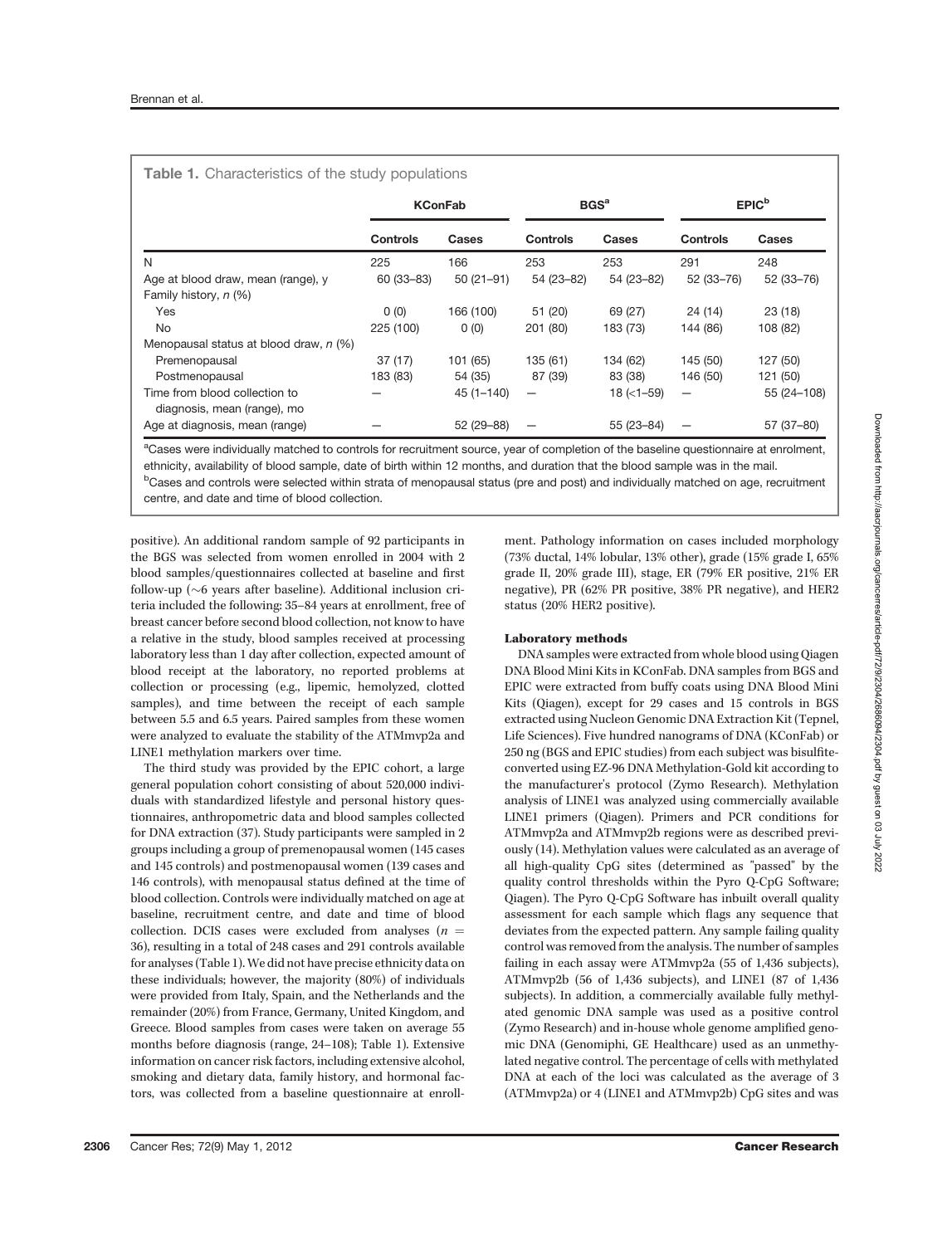|                                                              |                 | <b>KConFab</b> | BGS <sup>a</sup> |                  | EPIC <sup>b</sup> |               |
|--------------------------------------------------------------|-----------------|----------------|------------------|------------------|-------------------|---------------|
|                                                              | <b>Controls</b> | <b>Cases</b>   | <b>Controls</b>  | Cases            | <b>Controls</b>   | <b>Cases</b>  |
| N                                                            | 225             | 166            | 253              | 253              | 291               | 248           |
| Age at blood draw, mean (range), y                           | $60(33 - 83)$   | $50(21-91)$    | 54 (23-82)       | 54 (23-82)       | 52 (33 - 76)      | 52 (33-76)    |
| Family history, n (%)                                        |                 |                |                  |                  |                   |               |
| <b>Yes</b>                                                   | 0(0)            | 166 (100)      | 51 (20)          | 69 (27)          | 24 (14)           | 23(18)        |
| <b>No</b>                                                    | 225 (100)       | 0(0)           | 201 (80)         | 183 (73)         | 144 (86)          | 108 (82)      |
| Menopausal status at blood draw, n (%)                       |                 |                |                  |                  |                   |               |
| Premenopausal                                                | 37(17)          | 101 (65)       | 135 (61)         | 134 (62)         | 145 (50)          | 127 (50)      |
| Postmenopausal                                               | 183 (83)        | 54 (35)        | 87 (39)          | 83 (38)          | 146 (50)          | 121 (50)      |
| Time from blood collection to<br>diagnosis, mean (range), mo |                 | $45(1 - 140)$  | -                | $18$ ( $<$ 1–59) |                   | 55 (24 - 108) |
| Age at diagnosis, mean (range)                               |                 | 52 (29 - 88)   |                  | 55 (23 - 84)     |                   | 57 (37-80)    |

<sup>a</sup>Cases were individually matched to controls for recruitment source, year of completion of the baseline questionnaire at enrolment, ethnicity, availability of blood sample, date of birth within 12 months, and duration that the blood sample was in the mail.

<sup>b</sup>Cases and controls were selected within strata of menopausal status (pre and post) and individually matched on age, recruitment centre, and date and time of blood collection.

positive). An additional random sample of 92 participants in the BGS was selected from women enrolled in 2004 with 2 blood samples/questionnaires collected at baseline and first follow-up ( $\sim$ 6 years after baseline). Additional inclusion criteria included the following: 35–84 years at enrollment, free of breast cancer before second blood collection, not know to have a relative in the study, blood samples received at processing laboratory less than 1 day after collection, expected amount of blood receipt at the laboratory, no reported problems at collection or processing (e.g., lipemic, hemolyzed, clotted samples), and time between the receipt of each sample between 5.5 and 6.5 years. Paired samples from these women were analyzed to evaluate the stability of the ATMmvp2a and LINE1 methylation markers over time.

The third study was provided by the EPIC cohort, a large general population cohort consisting of about 520,000 individuals with standardized lifestyle and personal history questionnaires, anthropometric data and blood samples collected for DNA extraction (37). Study participants were sampled in 2 groups including a group of premenopausal women (145 cases and 145 controls) and postmenopausal women (139 cases and 146 controls), with menopausal status defined at the time of blood collection. Controls were individually matched on age at baseline, recruitment centre, and date and time of blood collection. DCIS cases were excluded from analyses  $(n =$ 36), resulting in a total of 248 cases and 291 controls available for analyses (Table 1). We did not have precise ethnicity data on these individuals; however, the majority (80%) of individuals were provided from Italy, Spain, and the Netherlands and the remainder (20%) from France, Germany, United Kingdom, and Greece. Blood samples from cases were taken on average 55 months before diagnosis (range, 24–108); Table 1). Extensive information on cancer risk factors, including extensive alcohol, smoking and dietary data, family history, and hormonal factors, was collected from a baseline questionnaire at enrollment. Pathology information on cases included morphology (73% ductal, 14% lobular, 13% other), grade (15% grade I, 65% grade II, 20% grade III), stage, ER (79% ER positive, 21% ER negative), PR (62% PR positive, 38% PR negative), and HER2 status (20% HER2 positive).

## Laboratory methods

DNA samples were extracted from whole blood using Qiagen DNA Blood Mini Kits in KConFab. DNA samples from BGS and EPIC were extracted from buffy coats using DNA Blood Mini Kits (Qiagen), except for 29 cases and 15 controls in BGS extracted using Nucleon Genomic DNA Extraction Kit (Tepnel, Life Sciences). Five hundred nanograms of DNA (KConFab) or 250 ng (BGS and EPIC studies) from each subject was bisulfiteconverted using EZ-96 DNA Methylation-Gold kit according to the manufacturer's protocol (Zymo Research). Methylation analysis of LINE1 was analyzed using commercially available LINE1 primers (Qiagen). Primers and PCR conditions for ATMmvp2a and ATMmvp2b regions were as described previously (14). Methylation values were calculated as an average of all high-quality CpG sites (determined as "passed" by the quality control thresholds within the Pyro Q-CpG Software; Qiagen). The Pyro Q-CpG Software has inbuilt overall quality assessment for each sample which flags any sequence that deviates from the expected pattern. Any sample failing quality control was removed from the analysis. The number of samples failing in each assay were ATMmvp2a (55 of 1,436 subjects), ATMmvp2b (56 of 1,436 subjects), and LINE1 (87 of 1,436 subjects). In addition, a commercially available fully methylated genomic DNA sample was used as a positive control (Zymo Research) and in-house whole genome amplified genomic DNA (Genomiphi, GE Healthcare) used as an unmethylated negative control. The percentage of cells with methylated DNA at each of the loci was calculated as the average of 3 (ATMmvp2a) or 4 (LINE1 and ATMmvp2b) CpG sites and was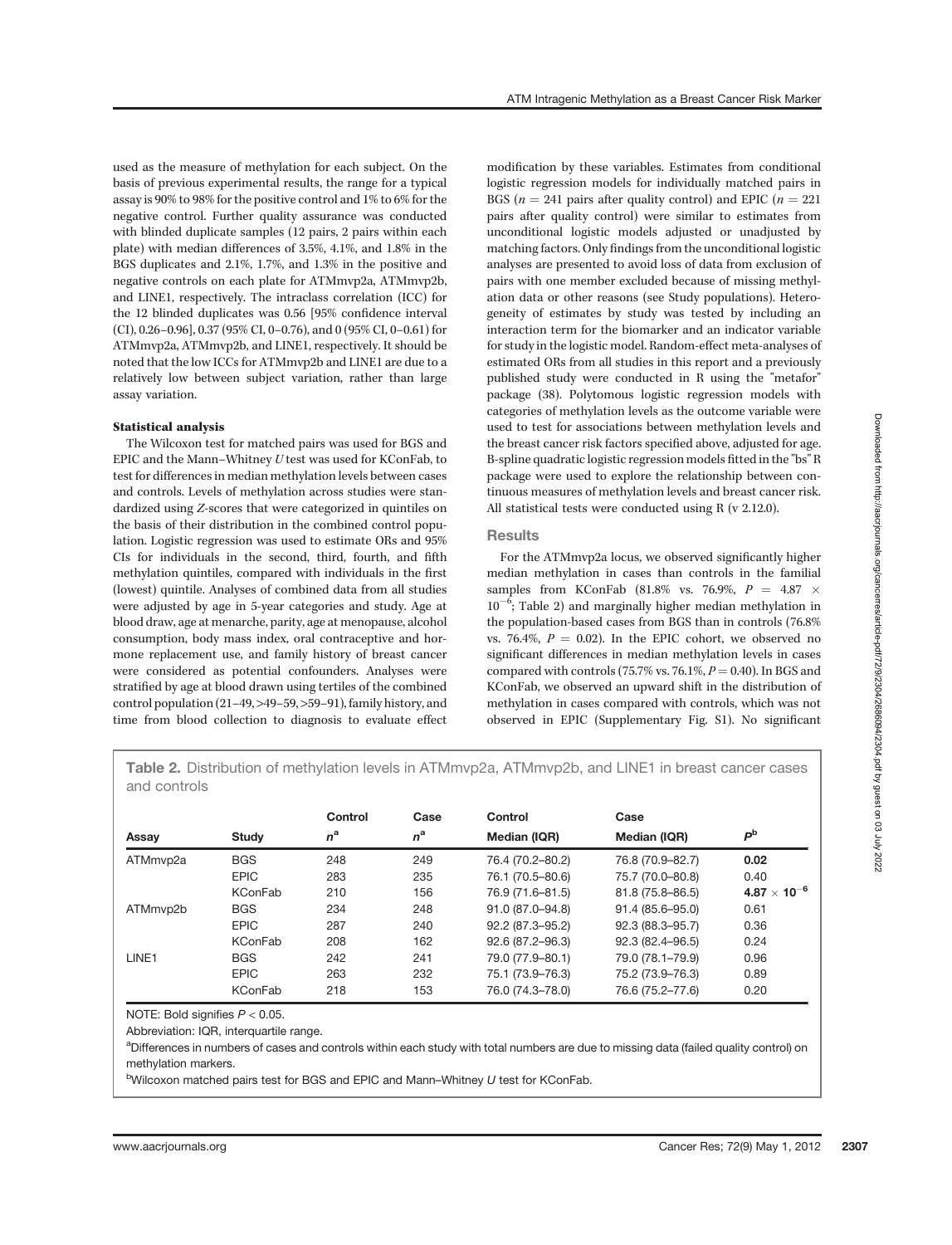used as the measure of methylation for each subject. On the basis of previous experimental results, the range for a typical assay is 90% to 98% for the positive control and 1% to 6% for the negative control. Further quality assurance was conducted with blinded duplicate samples (12 pairs, 2 pairs within each plate) with median differences of 3.5%, 4.1%, and 1.8% in the BGS duplicates and 2.1%, 1.7%, and 1.3% in the positive and negative controls on each plate for ATMmvp2a, ATMmvp2b, and LINE1, respectively. The intraclass correlation (ICC) for the 12 blinded duplicates was 0.56 [95% confidence interval (CI), 0.26–0.96], 0.37 (95% CI, 0–0.76), and 0 (95% CI, 0–0.61) for ATMmvp2a, ATMmvp2b, and LINE1, respectively. It should be noted that the low ICCs for ATMmvp2b and LINE1 are due to a relatively low between subject variation, rather than large assay variation.

# Statistical analysis

The Wilcoxon test for matched pairs was used for BGS and EPIC and the Mann–Whitney U test was used for KConFab, to test for differences in median methylation levels between cases and controls. Levels of methylation across studies were standardized using Z-scores that were categorized in quintiles on the basis of their distribution in the combined control population. Logistic regression was used to estimate ORs and 95% CIs for individuals in the second, third, fourth, and fifth methylation quintiles, compared with individuals in the first (lowest) quintile. Analyses of combined data from all studies were adjusted by age in 5-year categories and study. Age at blood draw, age at menarche, parity, age at menopause, alcohol consumption, body mass index, oral contraceptive and hormone replacement use, and family history of breast cancer were considered as potential confounders. Analyses were stratified by age at blood drawn using tertiles of the combined control population (21–49, >49–59, >59–91), family history, and time from blood collection to diagnosis to evaluate effect ATM Intragenic Methylation as a Breast Cancer Risk Marker

modification by these variables. Estimates from conditional logistic regression models for individually matched pairs in BGS ( $n = 241$  pairs after quality control) and EPIC ( $n = 221$ ) pairs after quality control) were similar to estimates from unconditional logistic models adjusted or unadjusted by matching factors. Only findings from the unconditional logistic analyses are presented to avoid loss of data from exclusion of pairs with one member excluded because of missing methylation data or other reasons (see Study populations). Heterogeneity of estimates by study was tested by including an interaction term for the biomarker and an indicator variable for study in the logistic model. Random-effect meta-analyses of estimated ORs from all studies in this report and a previously published study were conducted in R using the "metafor" package (38). Polytomous logistic regression models with categories of methylation levels as the outcome variable were used to test for associations between methylation levels and the breast cancer risk factors specified above, adjusted for age. B-spline quadratic logistic regression models fitted in the "bs" R package were used to explore the relationship between continuous measures of methylation levels and breast cancer risk. All statistical tests were conducted using R (v 2.12.0).

## **Results**

For the ATMmvp2a locus, we observed significantly higher median methylation in cases than controls in the familial samples from KConFab (81.8% vs. 76.9%,  $P = 4.87 \times$  $10^{-6}$ ; Table 2) and marginally higher median methylation in the population-based cases from BGS than in controls (76.8% vs. 76.4%,  $P = 0.02$ ). In the EPIC cohort, we observed no significant differences in median methylation levels in cases compared with controls (75.7% vs. 76.1%,  $P = 0.40$ ). In BGS and KConFab, we observed an upward shift in the distribution of methylation in cases compared with controls, which was not observed in EPIC (Supplementary Fig. S1). No significant

Table 2. Distribution of methylation levels in ATMmvp2a, ATMmvp2b, and LINE1 in breast cancer cases and controls

|                   |                | Control     | Case        | Control          | Case             |                     |
|-------------------|----------------|-------------|-------------|------------------|------------------|---------------------|
| Assay             | <b>Study</b>   | $n^{\rm a}$ | $n^{\rm a}$ | Median (IQR)     | Median (IQR)     | P <sub>b</sub>      |
| ATMmvp2a          | <b>BGS</b>     | 248         | 249         | 76.4 (70.2-80.2) | 76.8 (70.9-82.7) | 0.02                |
|                   | <b>EPIC</b>    | 283         | 235         | 76.1 (70.5-80.6) | 75.7 (70.0-80.8) | 0.40                |
|                   | <b>KConFab</b> | 210         | 156         | 76.9 (71.6-81.5) | 81.8 (75.8-86.5) | $4.87\times10^{-6}$ |
| ATMmvp2b          | <b>BGS</b>     | 234         | 248         | 91.0 (87.0-94.8) | 91.4 (85.6-95.0) | 0.61                |
|                   | <b>EPIC</b>    | 287         | 240         | 92.2 (87.3-95.2) | 92.3 (88.3-95.7) | 0.36                |
|                   | <b>KConFab</b> | 208         | 162         | 92.6 (87.2-96.3) | 92.3 (82.4-96.5) | 0.24                |
| LINE <sub>1</sub> | <b>BGS</b>     | 242         | 241         | 79.0 (77.9-80.1) | 79.0 (78.1-79.9) | 0.96                |
|                   | <b>EPIC</b>    | 263         | 232         | 75.1 (73.9–76.3) | 75.2 (73.9-76.3) | 0.89                |
|                   | <b>KConFab</b> | 218         | 153         | 76.0 (74.3-78.0) | 76.6 (75.2-77.6) | 0.20                |

NOTE: Bold signifies  $P < 0.05$ .

Abbreviation: IQR, interquartile range.

aDifferences in numbers of cases and controls within each study with total numbers are due to missing data (failed quality control) on methylation markers.

<sup>b</sup>Wilcoxon matched pairs test for BGS and EPIC and Mann–Whitney U test for KConFab.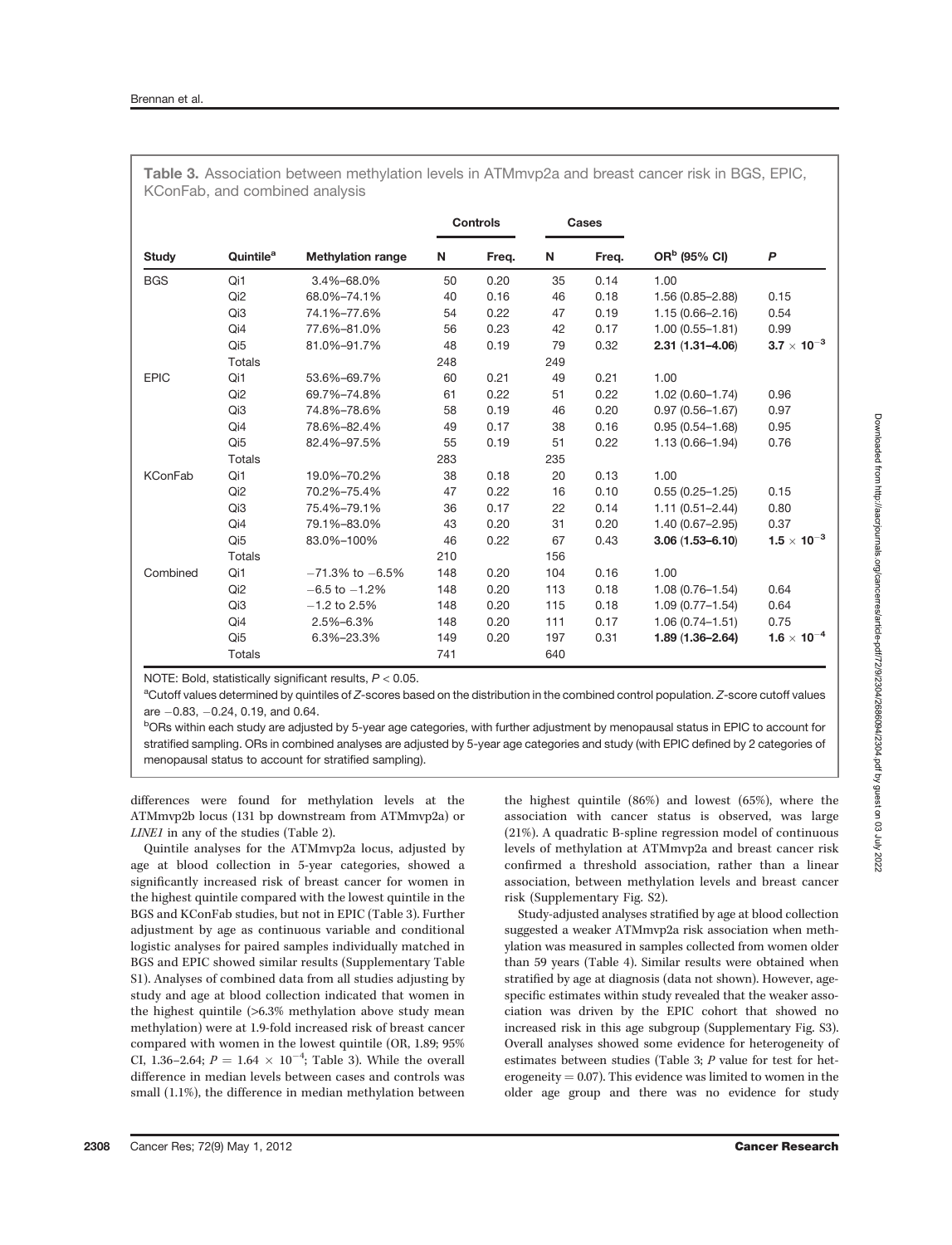|                |                       | <b>Methylation range</b> | <b>Controls</b> |       | <b>Cases</b> |       |                          |                      |
|----------------|-----------------------|--------------------------|-----------------|-------|--------------|-------|--------------------------|----------------------|
| <b>Study</b>   | Quintile <sup>a</sup> |                          | N               | Freq. | N            | Freq. | OR <sup>b</sup> (95% CI) | $\boldsymbol{P}$     |
| <b>BGS</b>     | Qi1                   | 3.4%-68.0%               | 50              | 0.20  | 35           | 0.14  | 1.00                     |                      |
|                | Qi <sub>2</sub>       | 68.0%-74.1%              | 40              | 0.16  | 46           | 0.18  | $1.56(0.85 - 2.88)$      | 0.15                 |
|                | Qi3                   | 74.1%-77.6%              | 54              | 0.22  | 47           | 0.19  | $1.15(0.66 - 2.16)$      | 0.54                 |
|                | Qi4                   | 77.6%-81.0%              | 56              | 0.23  | 42           | 0.17  | $1.00(0.55 - 1.81)$      | 0.99                 |
|                | Qi <sub>5</sub>       | 81.0%-91.7%              | 48              | 0.19  | 79           | 0.32  | $2.31(1.31 - 4.06)$      | $3.7 \times 10^{-3}$ |
|                | <b>Totals</b>         |                          | 248             |       | 249          |       |                          |                      |
| <b>EPIC</b>    | Qi1                   | 53.6%-69.7%              | 60              | 0.21  | 49           | 0.21  | 1.00                     |                      |
|                | Qi <sub>2</sub>       | 69.7%-74.8%              | 61              | 0.22  | 51           | 0.22  | $1.02(0.60 - 1.74)$      | 0.96                 |
|                | Qi3                   | 74.8%-78.6%              | 58              | 0.19  | 46           | 0.20  | $0.97(0.56 - 1.67)$      | 0.97                 |
|                | Qi4                   | 78.6%-82.4%              | 49              | 0.17  | 38           | 0.16  | $0.95(0.54 - 1.68)$      | 0.95                 |
|                | Qi <sub>5</sub>       | 82.4%-97.5%              | 55              | 0.19  | 51           | 0.22  | $1.13(0.66 - 1.94)$      | 0.76                 |
|                | <b>Totals</b>         |                          | 283             |       | 235          |       |                          |                      |
| <b>KConFab</b> | Qi1                   | 19.0%-70.2%              | 38              | 0.18  | 20           | 0.13  | 1.00                     |                      |
|                | Qi <sub>2</sub>       | 70.2%-75.4%              | 47              | 0.22  | 16           | 0.10  | $0.55(0.25 - 1.25)$      | 0.15                 |
|                | Qi3                   | 75.4%-79.1%              | 36              | 0.17  | 22           | 0.14  | $1.11(0.51 - 2.44)$      | 0.80                 |
|                | Qi4                   | 79.1%-83.0%              | 43              | 0.20  | 31           | 0.20  | $1.40(0.67 - 2.95)$      | 0.37                 |
|                | Qi <sub>5</sub>       | 83.0%-100%               | 46              | 0.22  | 67           | 0.43  | $3.06(1.53 - 6.10)$      | $1.5\times10^{-3}$   |
|                | <b>Totals</b>         |                          | 210             |       | 156          |       |                          |                      |
| Combined       | Qi1                   | $-71.3\%$ to $-6.5\%$    | 148             | 0.20  | 104          | 0.16  | 1.00                     |                      |
|                | Qi <sub>2</sub>       | $-6.5$ to $-1.2%$        | 148             | 0.20  | 113          | 0.18  | $1.08(0.76 - 1.54)$      | 0.64                 |
|                | Qi3                   | $-1.2$ to 2.5%           | 148             | 0.20  | 115          | 0.18  | $1.09(0.77 - 1.54)$      | 0.64                 |
|                | Qi4                   | 2.5%-6.3%                | 148             | 0.20  | 111          | 0.17  | $1.06(0.74 - 1.51)$      | 0.75                 |
|                | Qi <sub>5</sub>       | 6.3%-23.3%               | 149             | 0.20  | 197          | 0.31  | $1.89(1.36 - 2.64)$      | $1.6 \times 10^{-4}$ |
|                | Totals                |                          | 741             |       | 640          |       |                          |                      |

Table 3. Association between methylation levels in ATMmvp2a and breast cancer risk in BGS, EPIC, KConFab, and combined analysis

NOTE: Bold, statistically significant results,  $P < 0.05$ .

<sup>a</sup>Cutoff values determined by quintiles of Z-scores based on the distribution in the combined control population. Z-score cutoff values are  $-0.83$ ,  $-0.24$ , 0.19, and 0.64.

<sup>b</sup>ORs within each study are adjusted by 5-year age categories, with further adjustment by menopausal status in EPIC to account for stratified sampling. ORs in combined analyses are adjusted by 5-year age categories and study (with EPIC defined by 2 categories of menopausal status to account for stratified sampling).

differences were found for methylation levels at the ATMmvp2b locus (131 bp downstream from ATMmvp2a) or LINE1 in any of the studies (Table 2).

Quintile analyses for the ATMmvp2a locus, adjusted by age at blood collection in 5-year categories, showed a significantly increased risk of breast cancer for women in the highest quintile compared with the lowest quintile in the BGS and KConFab studies, but not in EPIC (Table 3). Further adjustment by age as continuous variable and conditional logistic analyses for paired samples individually matched in BGS and EPIC showed similar results (Supplementary Table S1). Analyses of combined data from all studies adjusting by study and age at blood collection indicated that women in the highest quintile (>6.3% methylation above study mean methylation) were at 1.9-fold increased risk of breast cancer compared with women in the lowest quintile (OR, 1.89; 95% CI, 1.36-2.64;  $P = 1.64 \times 10^{-4}$ ; Table 3). While the overall difference in median levels between cases and controls was small (1.1%), the difference in median methylation between the highest quintile (86%) and lowest (65%), where the association with cancer status is observed, was large (21%). A quadratic B-spline regression model of continuous levels of methylation at ATMmvp2a and breast cancer risk confirmed a threshold association, rather than a linear association, between methylation levels and breast cancer risk (Supplementary Fig. S2).

Study-adjusted analyses stratified by age at blood collection suggested a weaker ATMmvp2a risk association when methylation was measured in samples collected from women older than 59 years (Table 4). Similar results were obtained when stratified by age at diagnosis (data not shown). However, agespecific estimates within study revealed that the weaker association was driven by the EPIC cohort that showed no increased risk in this age subgroup (Supplementary Fig. S3). Overall analyses showed some evidence for heterogeneity of estimates between studies (Table 3; P value for test for heterogeneity  $= 0.07$ ). This evidence was limited to women in the older age group and there was no evidence for study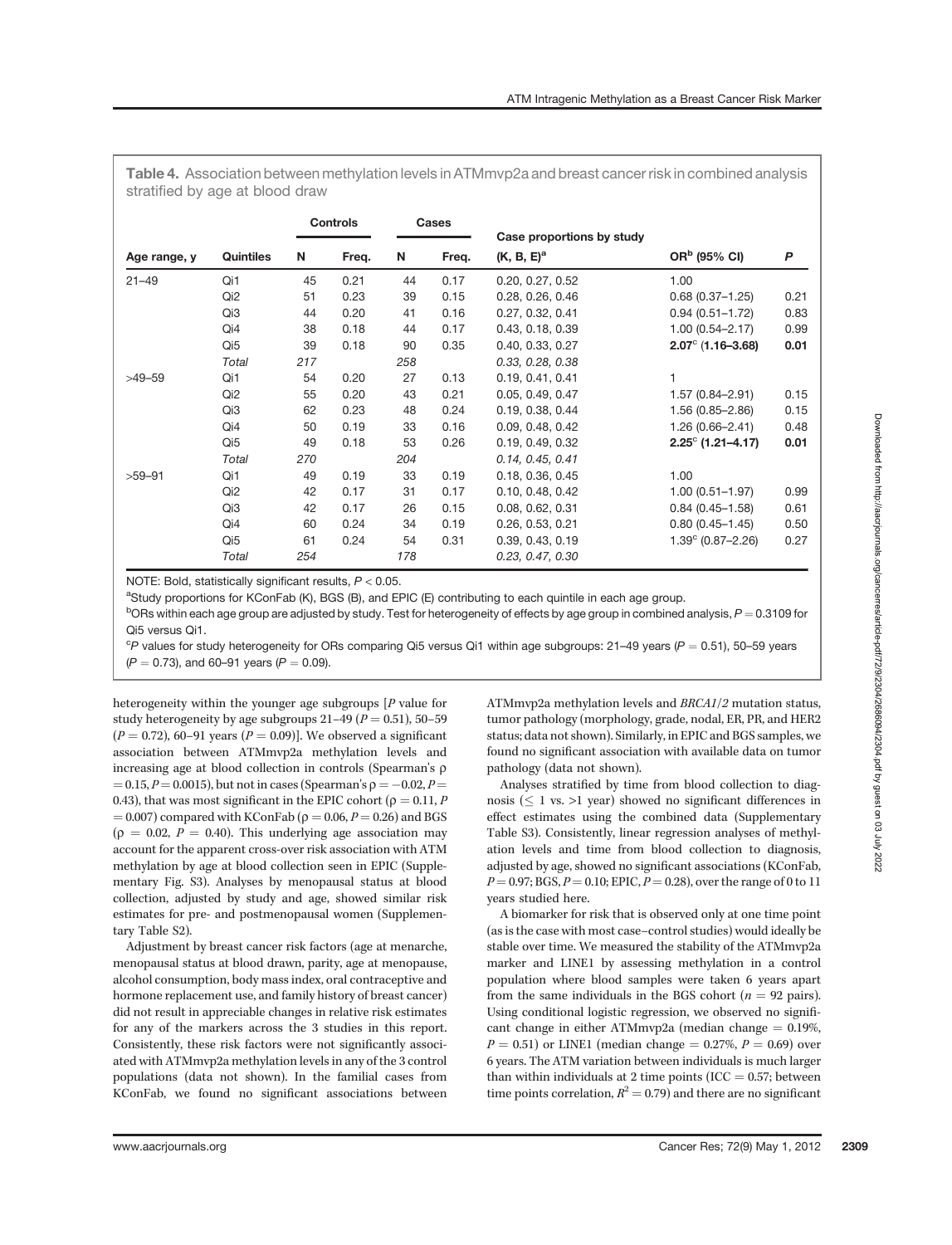Table 4. Association between methylation levels in ATMmvp2a and breast cancer risk in combined analysis stratified by age at blood draw

|              |                 | <b>Controls</b> |       | Cases |       |                                            |                            |      |
|--------------|-----------------|-----------------|-------|-------|-------|--------------------------------------------|----------------------------|------|
| Age range, y | Quintiles       | N               | Freq. | N     | Freq. | Case proportions by study<br>$(K, B, E)^a$ | OR <sup>b</sup> (95% CI)   | P    |
| $21 - 49$    | Qi1             | 45              | 0.21  | 44    | 0.17  | 0.20, 0.27, 0.52                           | 1.00                       |      |
|              | Qi <sub>2</sub> | 51              | 0.23  | 39    | 0.15  | 0.28, 0.26, 0.46                           | $0.68(0.37 - 1.25)$        | 0.21 |
|              | Qi3             | 44              | 0.20  | 41    | 0.16  | 0.27, 0.32, 0.41                           | $0.94(0.51 - 1.72)$        | 0.83 |
|              | Qi4             | 38              | 0.18  | 44    | 0.17  | 0.43, 0.18, 0.39                           | $1.00(0.54 - 2.17)$        | 0.99 |
|              | Qi5             | 39              | 0.18  | 90    | 0.35  | 0.40, 0.33, 0.27                           | $2.07^{\circ}$ (1.16-3.68) | 0.01 |
|              | Total           | 217             |       | 258   |       | 0.33, 0.28, 0.38                           |                            |      |
| $>49-59$     | Qi1             | 54              | 0.20  | 27    | 0.13  | 0.19, 0.41, 0.41                           | 1                          |      |
|              | Qi <sub>2</sub> | 55              | 0.20  | 43    | 0.21  | 0.05, 0.49, 0.47                           | $1.57(0.84 - 2.91)$        | 0.15 |
|              | Qi3             | 62              | 0.23  | 48    | 0.24  | 0.19, 0.38, 0.44                           | $1.56(0.85 - 2.86)$        | 0.15 |
|              | Qi4             | 50              | 0.19  | 33    | 0.16  | 0.09, 0.48, 0.42                           | $1.26(0.66 - 2.41)$        | 0.48 |
|              | Qi5             | 49              | 0.18  | 53    | 0.26  | 0.19, 0.49, 0.32                           | $2.25^{\circ}$ (1.21–4.17) | 0.01 |
|              | Total           | 270             |       | 204   |       | 0.14, 0.45, 0.41                           |                            |      |
| $>59-91$     | Qi1             | 49              | 0.19  | 33    | 0.19  | 0.18, 0.36, 0.45                           | 1.00                       |      |
|              | Qi <sub>2</sub> | 42              | 0.17  | 31    | 0.17  | 0.10, 0.48, 0.42                           | $1.00(0.51 - 1.97)$        | 0.99 |
|              | Qi3             | 42              | 0.17  | 26    | 0.15  | 0.08, 0.62, 0.31                           | $0.84(0.45 - 1.58)$        | 0.61 |
|              | Qi4             | 60              | 0.24  | 34    | 0.19  | 0.26, 0.53, 0.21                           | $0.80(0.45 - 1.45)$        | 0.50 |
|              | Qi5             | 61              | 0.24  | 54    | 0.31  | 0.39, 0.43, 0.19                           | $1.39^{\circ}$ (0.87-2.26) | 0.27 |
|              | Total           | 254             |       | 178   |       | 0.23, 0.47, 0.30                           |                            |      |

NOTE: Bold, statistically significant results,  $P < 0.05$ .

aStudy proportions for KConFab (K), BGS (B), and EPIC (E) contributing to each quintile in each age group.

 $^{\rm b}$ ORs within each age group are adjusted by study. Test for heterogeneity of effects by age group in combined analysis,  $P$   $=$  0.3109 for Qi5 versus Qi1.

 $c_P$  values for study heterogeneity for ORs comparing Qi5 versus Qi1 within age subgroups: 21–49 years ( $P = 0.51$ ), 50–59 years

 $(P = 0.73)$ , and 60–91 years  $(P = 0.09)$ .

heterogeneity within the younger age subgroups [P value for study heterogeneity by age subgroups  $21-49$  ( $P = 0.51$ ), 50-59  $(P = 0.72)$ , 60–91 years  $(P = 0.09)$ ]. We observed a significant association between ATMmvp2a methylation levels and increasing age at blood collection in controls (Spearman's  $\rho$  $= 0.15, P = 0.0015$ , but not in cases (Spearman's  $\rho = -0.02, P =$ 0.43), that was most significant in the EPIC cohort ( $\rho = 0.11, P$  $= 0.007$ ) compared with KConFab ( $\rho = 0.06$ ,  $P = 0.26$ ) and BGS  $(\rho = 0.02, P = 0.40)$ . This underlying age association may account for the apparent cross-over risk association with ATM methylation by age at blood collection seen in EPIC (Supplementary Fig. S3). Analyses by menopausal status at blood collection, adjusted by study and age, showed similar risk estimates for pre- and postmenopausal women (Supplementary Table S2).

Adjustment by breast cancer risk factors (age at menarche, menopausal status at blood drawn, parity, age at menopause, alcohol consumption, body mass index, oral contraceptive and hormone replacement use, and family history of breast cancer) did not result in appreciable changes in relative risk estimates for any of the markers across the 3 studies in this report. Consistently, these risk factors were not significantly associated with ATMmvp2a methylation levels in any of the 3 control populations (data not shown). In the familial cases from KConFab, we found no significant associations between ATMmvp2a methylation levels and BRCA1/2 mutation status, tumor pathology (morphology, grade, nodal, ER, PR, and HER2 status; data not shown). Similarly, in EPIC and BGS samples, we found no significant association with available data on tumor pathology (data not shown).

Analyses stratified by time from blood collection to diagnosis ( $\leq 1$  vs. >1 year) showed no significant differences in effect estimates using the combined data (Supplementary Table S3). Consistently, linear regression analyses of methylation levels and time from blood collection to diagnosis, adjusted by age, showed no significant associations (KConFab,  $P = 0.97$ ; BGS,  $P = 0.10$ ; EPIC,  $P = 0.28$ ), over the range of 0 to 11 years studied here.

A biomarker for risk that is observed only at one time point (as is the case with most case–control studies) would ideally be stable over time. We measured the stability of the ATMmvp2a marker and LINE1 by assessing methylation in a control population where blood samples were taken 6 years apart from the same individuals in the BGS cohort ( $n = 92$  pairs). Using conditional logistic regression, we observed no significant change in either ATMmvp2a (median change  $= 0.19\%$ ,  $P = 0.51$ ) or LINE1 (median change = 0.27%,  $P = 0.69$ ) over 6 years. The ATM variation between individuals is much larger than within individuals at 2 time points (ICC  $= 0.57$ ; between time points correlation,  $R^2 = 0.79$ ) and there are no significant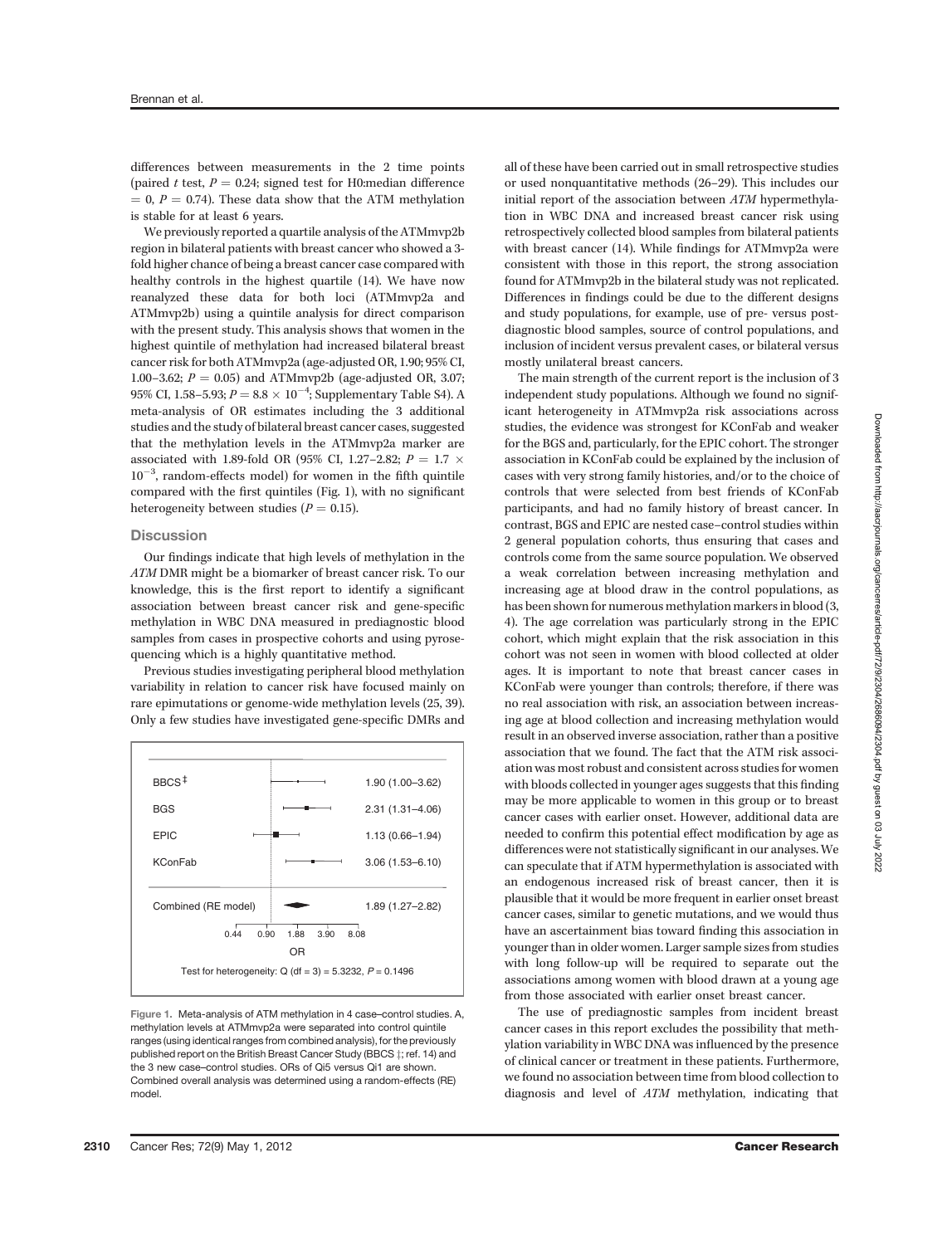differences between measurements in the 2 time points (paired t test,  $P = 0.24$ ; signed test for H0:median difference  $= 0, P = 0.74$ ). These data show that the ATM methylation is stable for at least 6 years.

We previously reported a quartile analysis of the ATMmvp2b region in bilateral patients with breast cancer who showed a 3 fold higher chance of being a breast cancer case compared with healthy controls in the highest quartile (14). We have now reanalyzed these data for both loci (ATMmvp2a and ATMmvp2b) using a quintile analysis for direct comparison with the present study. This analysis shows that women in the highest quintile of methylation had increased bilateral breast cancer risk for both ATMmvp2a (age-adjusted OR, 1.90; 95% CI, 1.00–3.62;  $P = 0.05$ ) and ATMmvp2b (age-adjusted OR, 3.07; 95% CI, 1.58–5.93;  $P = 8.8 \times 10^{-4}$ ; Supplementary Table S4). A meta-analysis of OR estimates including the 3 additional studies and the study of bilateral breast cancer cases, suggested that the methylation levels in the ATMmvp2a marker are associated with 1.89-fold OR (95% CI, 1.27–2.82;  $P = 1.7 \times$  $10^{-3}$ , random-effects model) for women in the fifth quintile compared with the first quintiles (Fig. 1), with no significant heterogeneity between studies ( $P = 0.15$ ).

## **Discussion**

Our findings indicate that high levels of methylation in the ATM DMR might be a biomarker of breast cancer risk. To our knowledge, this is the first report to identify a significant association between breast cancer risk and gene-specific methylation in WBC DNA measured in prediagnostic blood samples from cases in prospective cohorts and using pyrosequencing which is a highly quantitative method.

Previous studies investigating peripheral blood methylation variability in relation to cancer risk have focused mainly on rare epimutations or genome-wide methylation levels (25, 39). Only a few studies have investigated gene-specific DMRs and



Figure 1. Meta-analysis of ATM methylation in 4 case–control studies. A, methylation levels at ATMmvp2a were separated into control quintile ranges (using identical ranges from combined analysis), for the previously published report on the British Breast Cancer Study (BBCS  $\pm$ ; ref. 14) and the 3 new case–control studies. ORs of Qi5 versus Qi1 are shown. Combined overall analysis was determined using a random-effects (RE) model.

all of these have been carried out in small retrospective studies or used nonquantitative methods (26–29). This includes our initial report of the association between ATM hypermethylation in WBC DNA and increased breast cancer risk using retrospectively collected blood samples from bilateral patients with breast cancer (14). While findings for ATMmvp2a were consistent with those in this report, the strong association found for ATMmvp2b in the bilateral study was not replicated. Differences in findings could be due to the different designs and study populations, for example, use of pre- versus postdiagnostic blood samples, source of control populations, and inclusion of incident versus prevalent cases, or bilateral versus mostly unilateral breast cancers.

The main strength of the current report is the inclusion of 3 independent study populations. Although we found no significant heterogeneity in ATMmvp2a risk associations across studies, the evidence was strongest for KConFab and weaker for the BGS and, particularly, for the EPIC cohort. The stronger association in KConFab could be explained by the inclusion of cases with very strong family histories, and/or to the choice of controls that were selected from best friends of KConFab participants, and had no family history of breast cancer. In contrast, BGS and EPIC are nested case–control studies within 2 general population cohorts, thus ensuring that cases and controls come from the same source population. We observed a weak correlation between increasing methylation and increasing age at blood draw in the control populations, as has been shown for numerous methylation markers in blood (3, 4). The age correlation was particularly strong in the EPIC cohort, which might explain that the risk association in this cohort was not seen in women with blood collected at older ages. It is important to note that breast cancer cases in KConFab were younger than controls; therefore, if there was no real association with risk, an association between increasing age at blood collection and increasing methylation would result in an observed inverse association, rather than a positive association that we found. The fact that the ATM risk association was most robust and consistent across studies for women with bloods collected in younger ages suggests that this finding may be more applicable to women in this group or to breast cancer cases with earlier onset. However, additional data are needed to confirm this potential effect modification by age as differences were not statistically significant in our analyses. We can speculate that if ATM hypermethylation is associated with an endogenous increased risk of breast cancer, then it is plausible that it would be more frequent in earlier onset breast cancer cases, similar to genetic mutations, and we would thus have an ascertainment bias toward finding this association in younger than in older women. Larger sample sizes from studies with long follow-up will be required to separate out the associations among women with blood drawn at a young age from those associated with earlier onset breast cancer.

The use of prediagnostic samples from incident breast cancer cases in this report excludes the possibility that methylation variability in WBC DNA was influenced by the presence of clinical cancer or treatment in these patients. Furthermore, we found no association between time from blood collection to diagnosis and level of ATM methylation, indicating that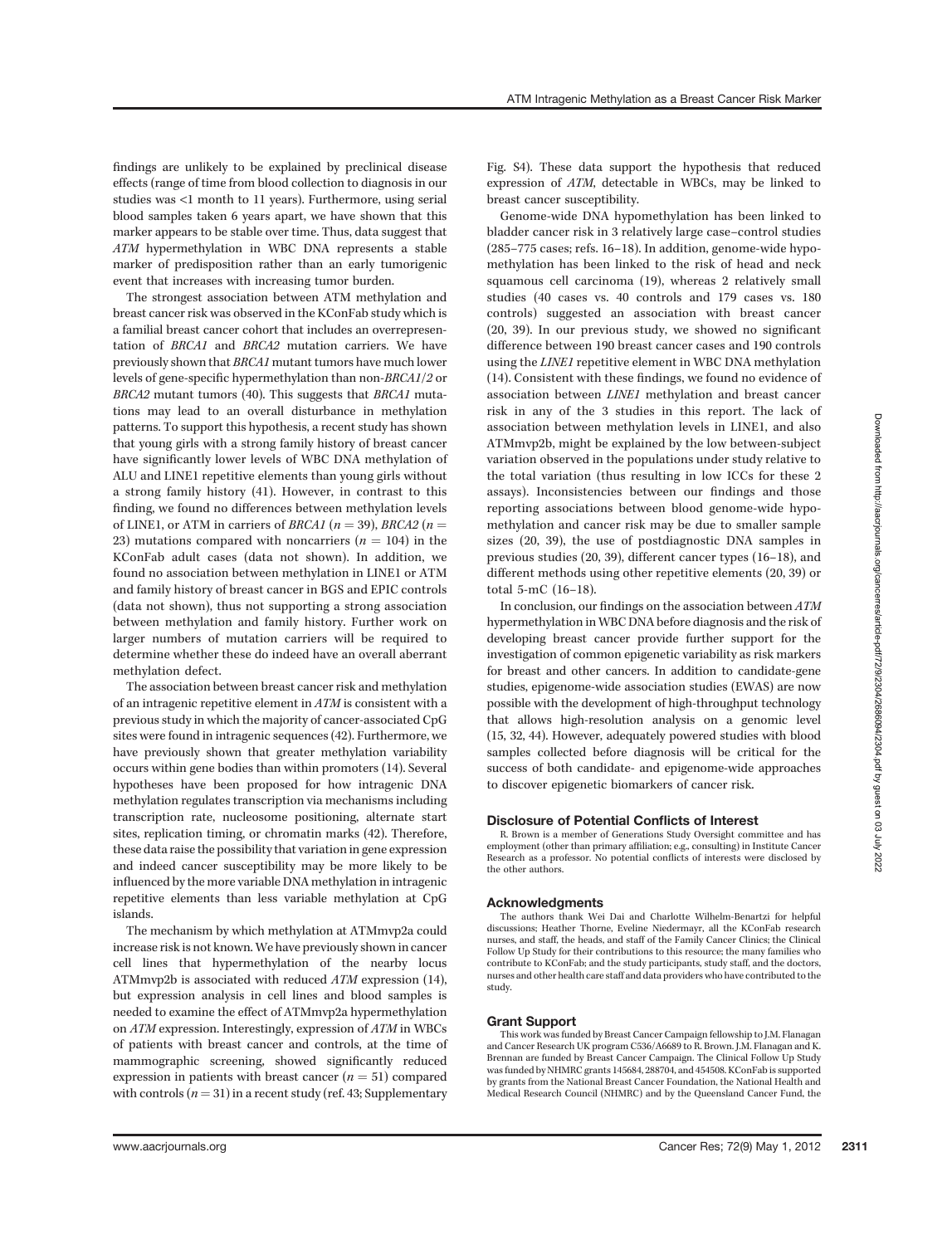findings are unlikely to be explained by preclinical disease effects (range of time from blood collection to diagnosis in our studies was <1 month to 11 years). Furthermore, using serial blood samples taken 6 years apart, we have shown that this marker appears to be stable over time. Thus, data suggest that ATM hypermethylation in WBC DNA represents a stable marker of predisposition rather than an early tumorigenic event that increases with increasing tumor burden.

The strongest association between ATM methylation and breast cancer risk was observed in the KConFab study which is a familial breast cancer cohort that includes an overrepresentation of BRCA1 and BRCA2 mutation carriers. We have previously shown that BRCA1 mutant tumors have much lower levels of gene-specific hypermethylation than non-BRCA1/2 or BRCA2 mutant tumors (40). This suggests that BRCA1 mutations may lead to an overall disturbance in methylation patterns. To support this hypothesis, a recent study has shown that young girls with a strong family history of breast cancer have significantly lower levels of WBC DNA methylation of ALU and LINE1 repetitive elements than young girls without a strong family history (41). However, in contrast to this finding, we found no differences between methylation levels of LINE1, or ATM in carriers of *BRCA1* ( $n = 39$ ), *BRCA2* ( $n =$ 23) mutations compared with noncarriers  $(n = 104)$  in the KConFab adult cases (data not shown). In addition, we found no association between methylation in LINE1 or ATM and family history of breast cancer in BGS and EPIC controls (data not shown), thus not supporting a strong association between methylation and family history. Further work on larger numbers of mutation carriers will be required to determine whether these do indeed have an overall aberrant methylation defect.

The association between breast cancer risk and methylation of an intragenic repetitive element in ATM is consistent with a previous study in which the majority of cancer-associated CpG sites were found in intragenic sequences (42). Furthermore, we have previously shown that greater methylation variability occurs within gene bodies than within promoters (14). Several hypotheses have been proposed for how intragenic DNA methylation regulates transcription via mechanisms including transcription rate, nucleosome positioning, alternate start sites, replication timing, or chromatin marks (42). Therefore, these data raise the possibility that variation in gene expression and indeed cancer susceptibility may be more likely to be influenced by the more variable DNA methylation in intragenic repetitive elements than less variable methylation at CpG islands.

The mechanism by which methylation at ATMmvp2a could increase risk is not known. We have previously shown in cancer cell lines that hypermethylation of the nearby locus ATMmvp2b is associated with reduced ATM expression (14), but expression analysis in cell lines and blood samples is needed to examine the effect of ATMmvp2a hypermethylation on ATM expression. Interestingly, expression of ATM in WBCs of patients with breast cancer and controls, at the time of mammographic screening, showed significantly reduced expression in patients with breast cancer  $(n = 51)$  compared with controls  $(n = 31)$  in a recent study (ref. 43; Supplementary Fig. S4). These data support the hypothesis that reduced expression of ATM, detectable in WBCs, may be linked to breast cancer susceptibility.

Genome-wide DNA hypomethylation has been linked to bladder cancer risk in 3 relatively large case–control studies (285–775 cases; refs. 16–18). In addition, genome-wide hypomethylation has been linked to the risk of head and neck squamous cell carcinoma (19), whereas 2 relatively small studies (40 cases vs. 40 controls and 179 cases vs. 180 controls) suggested an association with breast cancer (20, 39). In our previous study, we showed no significant difference between 190 breast cancer cases and 190 controls using the LINE1 repetitive element in WBC DNA methylation (14). Consistent with these findings, we found no evidence of association between LINE1 methylation and breast cancer risk in any of the 3 studies in this report. The lack of association between methylation levels in LINE1, and also ATMmvp2b, might be explained by the low between-subject variation observed in the populations under study relative to the total variation (thus resulting in low ICCs for these 2 assays). Inconsistencies between our findings and those reporting associations between blood genome-wide hypomethylation and cancer risk may be due to smaller sample sizes (20, 39), the use of postdiagnostic DNA samples in previous studies (20, 39), different cancer types (16–18), and different methods using other repetitive elements (20, 39) or total 5-mC (16–18).

In conclusion, our findings on the association between ATM hypermethylation in WBC DNA before diagnosis and the risk of developing breast cancer provide further support for the investigation of common epigenetic variability as risk markers for breast and other cancers. In addition to candidate-gene studies, epigenome-wide association studies (EWAS) are now possible with the development of high-throughput technology that allows high-resolution analysis on a genomic level (15, 32, 44). However, adequately powered studies with blood samples collected before diagnosis will be critical for the success of both candidate- and epigenome-wide approaches to discover epigenetic biomarkers of cancer risk.

## Disclosure of Potential Conflicts of Interest

R. Brown is a member of Generations Study Oversight committee and has employment (other than primary affiliation; e.g., consulting) in Institute Cancer Research as a professor. No potential conflicts of interests were disclosed by the other authors.

#### Acknowledgments

The authors thank Wei Dai and Charlotte Wilhelm-Benartzi for helpful discussions; Heather Thorne, Eveline Niedermayr, all the KConFab research nurses, and staff, the heads, and staff of the Family Cancer Clinics; the Clinical Follow Up Study for their contributions to this resource; the many families who contribute to KConFab; and the study participants, study staff, and the doctors, nurses and other health care staff and data providers who have contributed to the study.

## Grant Support

This work was funded by Breast Cancer Campaign fellowship to J.M. Flanagan and Cancer Research UK program C536/A6689 to R. Brown. J.M. Flanagan and K. Brennan are funded by Breast Cancer Campaign. The Clinical Follow Up Study was funded by NHMRC grants 145684, 288704, and 454508. KConFab is supported by grants from the National Breast Cancer Foundation, the National Health and Medical Research Council (NHMRC) and by the Queensland Cancer Fund, the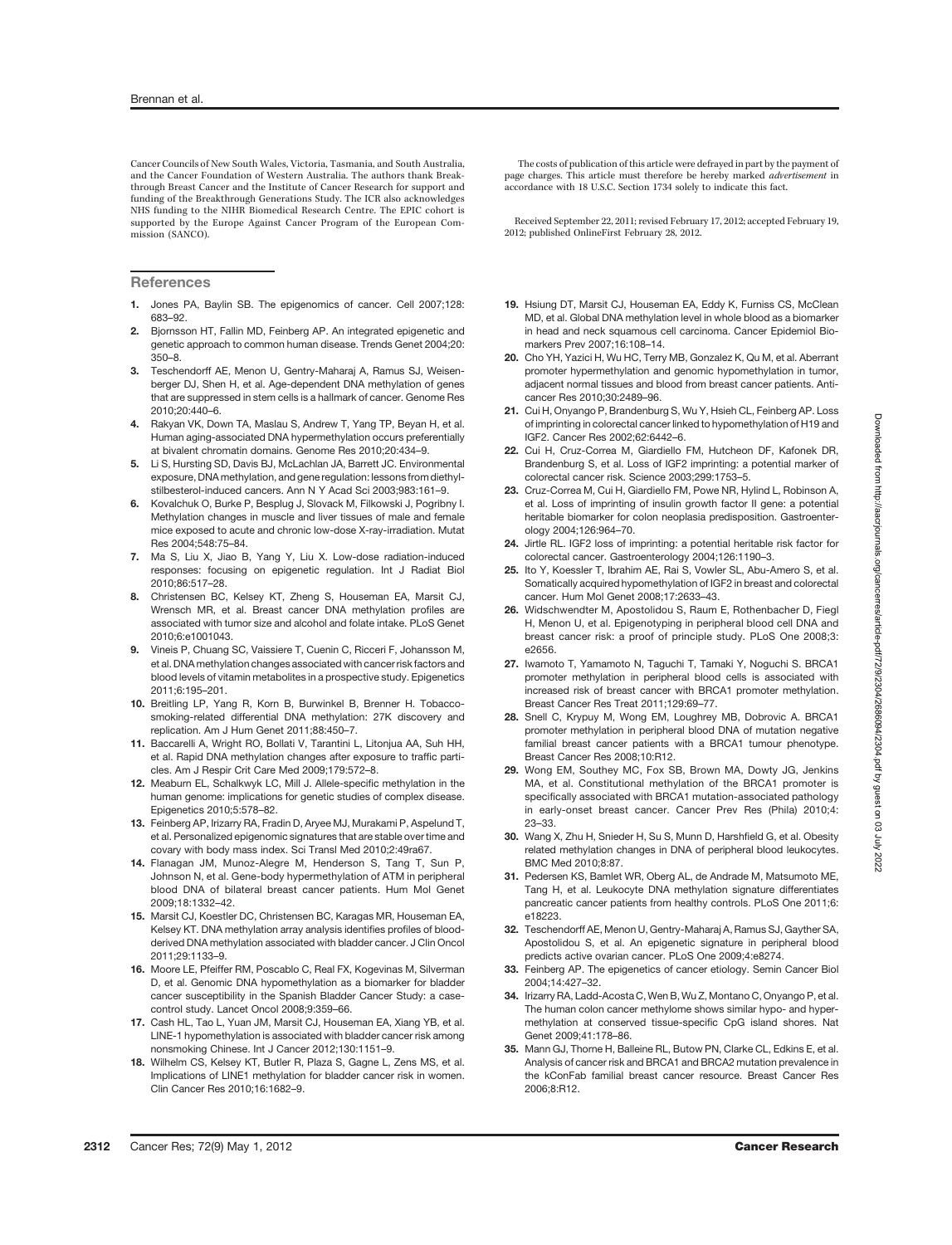Cancer Councils of New South Wales, Victoria, Tasmania, and South Australia, and the Cancer Foundation of Western Australia. The authors thank Breakthrough Breast Cancer and the Institute of Cancer Research for support and funding of the Breakthrough Generations Study. The ICR also acknowledges NHS funding to the NIHR Biomedical Research Centre. The EPIC cohort is supported by the Europe Against Cancer Program of the European Commission (SANCO).

**References** 

- 1. Jones PA, Baylin SB. The epigenomics of cancer. Cell 2007;128: 683–92.
- 2. Bjornsson HT, Fallin MD, Feinberg AP. An integrated epigenetic and genetic approach to common human disease. Trends Genet 2004;20: 350–8.
- 3. Teschendorff AE, Menon U, Gentry-Maharaj A, Ramus SJ, Weisenberger DJ, Shen H, et al. Age-dependent DNA methylation of genes that are suppressed in stem cells is a hallmark of cancer. Genome Res 2010;20:440–6.
- 4. Rakyan VK, Down TA, Maslau S, Andrew T, Yang TP, Beyan H, et al. Human aging-associated DNA hypermethylation occurs preferentially at bivalent chromatin domains. Genome Res 2010;20:434–9.
- 5. Li S, Hursting SD, Davis BJ, McLachlan JA, Barrett JC. Environmental exposure, DNA methylation, and gene regulation: lessons from diethylstilbesterol-induced cancers. Ann N Y Acad Sci 2003;983:161–9.
- 6. Kovalchuk O, Burke P, Besplug J, Slovack M, Filkowski J, Pogribny I. Methylation changes in muscle and liver tissues of male and female mice exposed to acute and chronic low-dose X-ray-irradiation. Mutat Res 2004;548:75–84.
- 7. Ma S, Liu X, Jiao B, Yang Y, Liu X. Low-dose radiation-induced responses: focusing on epigenetic regulation. Int J Radiat Biol 2010;86:517–28.
- 8. Christensen BC, Kelsey KT, Zheng S, Houseman EA, Marsit CJ, Wrensch MR, et al. Breast cancer DNA methylation profiles are associated with tumor size and alcohol and folate intake. PLoS Genet 2010;6:e1001043.
- 9. Vineis P, Chuang SC, Vaissiere T, Cuenin C, Ricceri F, Johansson M, et al. DNA methylation changes associated with cancer risk factors and blood levels of vitamin metabolites in a prospective study. Epigenetics 2011;6:195–201.
- 10. Breitling LP, Yang R, Korn B, Burwinkel B, Brenner H. Tobaccosmoking-related differential DNA methylation: 27K discovery and replication. Am J Hum Genet 2011;88:450–7.
- 11. Baccarelli A, Wright RO, Bollati V, Tarantini L, Litonjua AA, Suh HH, et al. Rapid DNA methylation changes after exposure to traffic particles. Am J Respir Crit Care Med 2009;179:572–8.
- 12. Meaburn EL, Schalkwyk LC, Mill J. Allele-specific methylation in the human genome: implications for genetic studies of complex disease. Epigenetics 2010;5:578–82.
- 13. Feinberg AP, Irizarry RA, Fradin D, Aryee MJ, Murakami P, Aspelund T, et al. Personalized epigenomic signatures that are stable over time and covary with body mass index. Sci Transl Med 2010;2:49ra67.
- 14. Flanagan JM, Munoz-Alegre M, Henderson S, Tang T, Sun P, Johnson N, et al. Gene-body hypermethylation of ATM in peripheral blood DNA of bilateral breast cancer patients. Hum Mol Genet 2009;18:1332–42.
- 15. Marsit CJ, Koestler DC, Christensen BC, Karagas MR, Houseman EA, Kelsey KT. DNA methylation array analysis identifies profiles of bloodderived DNA methylation associated with bladder cancer. J Clin Oncol 2011;29:1133–9.
- 16. Moore LE, Pfeiffer RM, Poscablo C, Real FX, Kogevinas M, Silverman D, et al. Genomic DNA hypomethylation as a biomarker for bladder cancer susceptibility in the Spanish Bladder Cancer Study: a casecontrol study. Lancet Oncol 2008;9:359–66.
- 17. Cash HL, Tao L, Yuan JM, Marsit CJ, Houseman EA, Xiang YB, et al. LINE-1 hypomethylation is associated with bladder cancer risk among nonsmoking Chinese. Int J Cancer 2012;130:1151–9.
- 18. Wilhelm CS, Kelsey KT, Butler R, Plaza S, Gagne L, Zens MS, et al. Implications of LINE1 methylation for bladder cancer risk in women. Clin Cancer Res 2010;16:1682–9.

The costs of publication of this article were defrayed in part by the payment of page charges. This article must therefore be hereby marked advertisement in accordance with 18 U.S.C. Section 1734 solely to indicate this fact.

Received September 22, 2011; revised February 17, 2012; accepted February 19, 2012; published OnlineFirst February 28, 2012.

- 19. Hsiung DT, Marsit CJ, Houseman EA, Eddy K, Furniss CS, McClean MD, et al. Global DNA methylation level in whole blood as a biomarker in head and neck squamous cell carcinoma. Cancer Epidemiol Biomarkers Prev 2007;16:108–14.
- 20. Cho YH, Yazici H, Wu HC, Terry MB, Gonzalez K, Qu M, et al. Aberrant promoter hypermethylation and genomic hypomethylation in tumor, adjacent normal tissues and blood from breast cancer patients. Anticancer Res 2010;30:2489–96.
- 21. Cui H, Onyango P, Brandenburg S, Wu Y, Hsieh CL, Feinberg AP. Loss of imprinting in colorectal cancer linked to hypomethylation of H19 and IGF2. Cancer Res 2002;62:6442–6.
- 22. Cui H, Cruz-Correa M, Giardiello FM, Hutcheon DF, Kafonek DR, Brandenburg S, et al. Loss of IGF2 imprinting: a potential marker of colorectal cancer risk. Science 2003;299:1753–5.
- 23. Cruz-Correa M, Cui H, Giardiello FM, Powe NR, Hylind L, Robinson A, et al. Loss of imprinting of insulin growth factor II gene: a potential heritable biomarker for colon neoplasia predisposition. Gastroenterology 2004;126:964–70.
- 24. Jirtle RL. IGF2 loss of imprinting: a potential heritable risk factor for colorectal cancer. Gastroenterology 2004;126:1190–3.
- 25. Ito Y, Koessler T, Ibrahim AE, Rai S, Vowler SL, Abu-Amero S, et al. Somatically acquired hypomethylation of IGF2 in breast and colorectal cancer. Hum Mol Genet 2008;17:2633–43.
- 26. Widschwendter M, Apostolidou S, Raum E, Rothenbacher D, Fiegl H, Menon U, et al. Epigenotyping in peripheral blood cell DNA and breast cancer risk: a proof of principle study. PLoS One 2008;3: e2656.
- 27. Iwamoto T, Yamamoto N, Taguchi T, Tamaki Y, Noguchi S. BRCA1 promoter methylation in peripheral blood cells is associated with increased risk of breast cancer with BRCA1 promoter methylation. Breast Cancer Res Treat 2011;129:69–77.
- 28. Snell C, Krypuy M, Wong EM, Loughrey MB, Dobrovic A. BRCA1 promoter methylation in peripheral blood DNA of mutation negative familial breast cancer patients with a BRCA1 tumour phenotype. Breast Cancer Res 2008;10:R12.
- 29. Wong EM, Southey MC, Fox SB, Brown MA, Dowty JG, Jenkins MA, et al. Constitutional methylation of the BRCA1 promoter is specifically associated with BRCA1 mutation-associated pathology in early-onset breast cancer. Cancer Prev Res (Phila) 2010;4: 23–33.
- 30. Wang X, Zhu H, Snieder H, Su S, Munn D, Harshfield G, et al. Obesity related methylation changes in DNA of peripheral blood leukocytes. BMC Med 2010;8:87.
- 31. Pedersen KS, Bamlet WR, Oberg AL, de Andrade M, Matsumoto ME, Tang H, et al. Leukocyte DNA methylation signature differentiates pancreatic cancer patients from healthy controls. PLoS One 2011;6: e18223.
- 32. Teschendorff AE, Menon U, Gentry-Maharaj A, Ramus SJ, Gayther SA, Apostolidou S, et al. An epigenetic signature in peripheral blood predicts active ovarian cancer. PLoS One 2009;4:e8274.
- 33. Feinberg AP. The epigenetics of cancer etiology. Semin Cancer Biol 2004;14:427–32.
- 34. Irizarry RA, Ladd-Acosta C, Wen B, Wu Z, Montano C, Onyango P, et al. The human colon cancer methylome shows similar hypo- and hypermethylation at conserved tissue-specific CpG island shores. Nat Genet 2009;41:178–86.
- 35. Mann GJ, Thorne H, Balleine RL, Butow PN, Clarke CL, Edkins E, et al. Analysis of cancer risk and BRCA1 and BRCA2 mutation prevalence in the kConFab familial breast cancer resource. Breast Cancer Res 2006;8:R12.